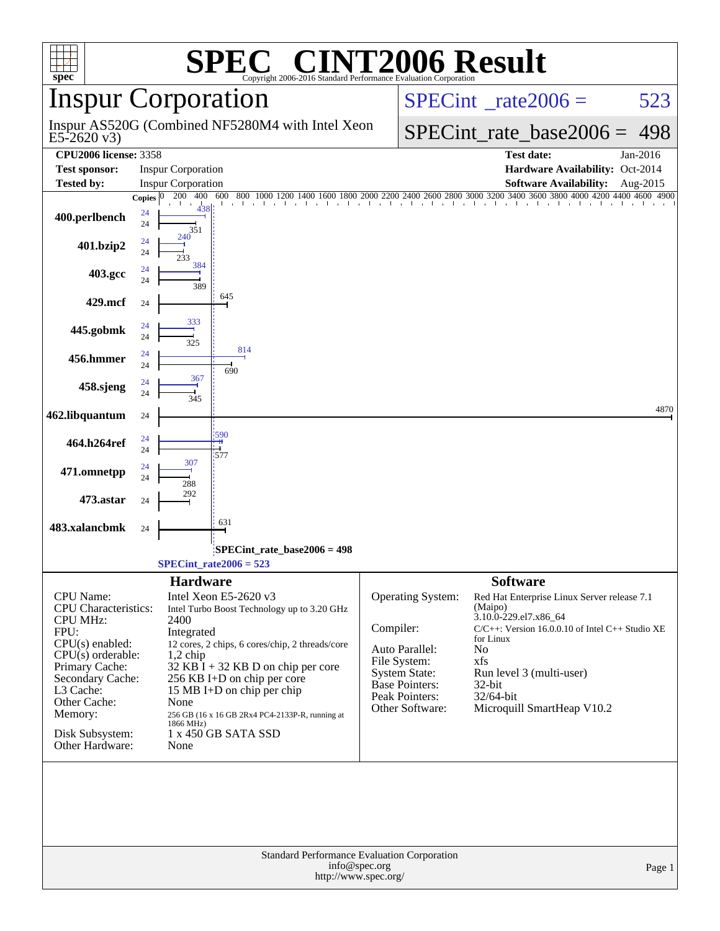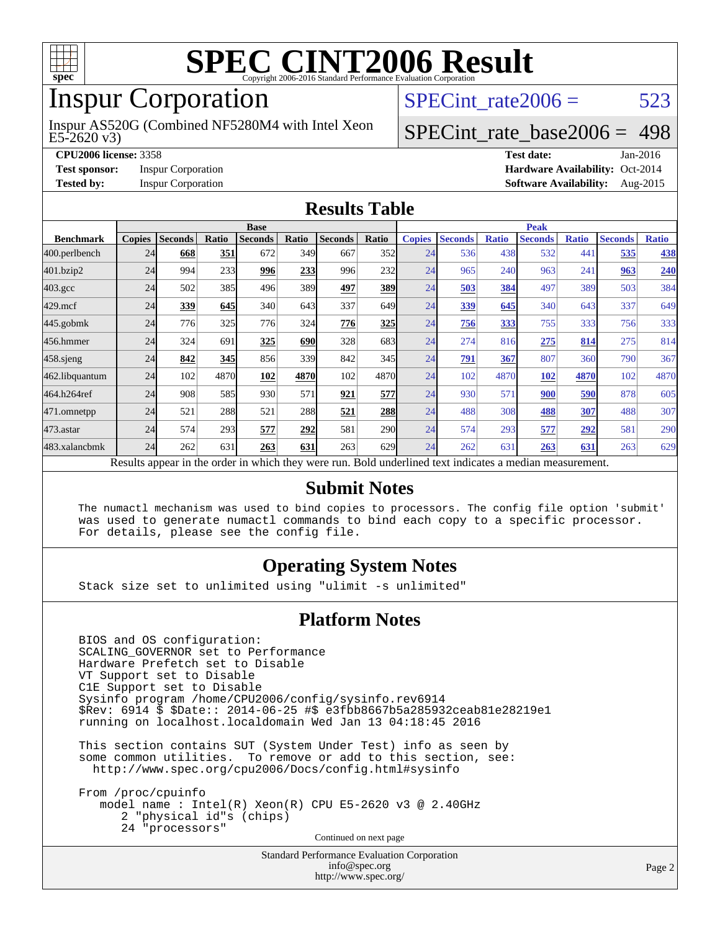

### Inspur Corporation

E5-2620 v3) Inspur AS520G (Combined NF5280M4 with Intel Xeon SPECint rate $2006 = 523$ 

#### [SPECint\\_rate\\_base2006 =](http://www.spec.org/auto/cpu2006/Docs/result-fields.html#SPECintratebase2006) 498

**[CPU2006 license:](http://www.spec.org/auto/cpu2006/Docs/result-fields.html#CPU2006license)** 3358 **[Test date:](http://www.spec.org/auto/cpu2006/Docs/result-fields.html#Testdate)** Jan-2016 **[Test sponsor:](http://www.spec.org/auto/cpu2006/Docs/result-fields.html#Testsponsor)** Inspur Corporation **[Hardware Availability:](http://www.spec.org/auto/cpu2006/Docs/result-fields.html#HardwareAvailability)** Oct-2014 **[Tested by:](http://www.spec.org/auto/cpu2006/Docs/result-fields.html#Testedby)** Inspur Corporation **[Software Availability:](http://www.spec.org/auto/cpu2006/Docs/result-fields.html#SoftwareAvailability)** Aug-2015

#### **[Results Table](http://www.spec.org/auto/cpu2006/Docs/result-fields.html#ResultsTable)**

|                                                                                                          | <b>Base</b>   |                |       |                |       | <b>Peak</b>    |            |               |                |              |                |              |                |              |
|----------------------------------------------------------------------------------------------------------|---------------|----------------|-------|----------------|-------|----------------|------------|---------------|----------------|--------------|----------------|--------------|----------------|--------------|
| <b>Benchmark</b>                                                                                         | <b>Copies</b> | <b>Seconds</b> | Ratio | <b>Seconds</b> | Ratio | <b>Seconds</b> | Ratio      | <b>Copies</b> | <b>Seconds</b> | <b>Ratio</b> | <b>Seconds</b> | <b>Ratio</b> | <b>Seconds</b> | <b>Ratio</b> |
| 400.perlbench                                                                                            | 24            | 668            | 351   | 672            | 349   | 667            | 352        | 24            | 536            | 438          | 532            | 441          | 535            | <u>438</u>   |
| 401.bzip2                                                                                                | 24            | 994            | 233   | 996            | 233   | 996            | <b>232</b> | 24            | 965            | 240          | 963            | 241          | 963            | 240          |
| $403.\mathrm{gcc}$                                                                                       | 24            | 502            | 385   | 496            | 389   | 497            | <b>389</b> | 24            | 503            | 384          | 497            | 389          | 503            | 384          |
| $429$ .mcf                                                                                               | 24            | 339            | 645   | 340            | 643   | 337            | 649I       | 24            | 339            | 645          | 340            | 643          | 337            | 649          |
| $445$ .gobmk                                                                                             | 24            | 776            | 325   | 776            | 324   | 776            | 325        | 24            | 756            | 333          | 755            | 333          | 756            | 333          |
| 456.hmmer                                                                                                | 24            | 324            | 691   | 325            | 690   | 328            | 683        | 24            | 274            | 816          | 275            | 814          | 275            | 814          |
| $458$ .sjeng                                                                                             | 24            | 842            | 345   | 856            | 339   | 842            | 345        | 24            | 791            | 367          | 807            | 360          | 790            | 367          |
| 462.libquantum                                                                                           | 24            | 102            | 4870  | 102            | 4870  | 102            | 4870       | 24            | 102            | 4870         | 102            | 4870         | 102            | 4870         |
| 464.h264ref                                                                                              | 24            | 908            | 585   | 930            | 571   | 921            | 577        | 24            | 930            | 571          | 900            | 590          | 878            | 605          |
| 471.omnetpp                                                                                              | 24            | 521            | 288   | 521            | 288   | 521            | <b>288</b> | 24            | 488            | 308          | 488            | 307          | 488            | 307          |
| $473$ . astar                                                                                            | 24            | 574            | 293   | 577            | 292   | 581            | 290        | 24            | 574            | 293          | 577            | 292          | 581            | 290          |
| 483.xalancbmk                                                                                            | 24            | 262            | 631   | 263            | 631   | 263            | 629l       | 24            | 262            | 631          | 263            | 631          | 263            | 629          |
| Results appear in the order in which they were run. Bold underlined text indicates a median measurement. |               |                |       |                |       |                |            |               |                |              |                |              |                |              |

#### **[Submit Notes](http://www.spec.org/auto/cpu2006/Docs/result-fields.html#SubmitNotes)**

 The numactl mechanism was used to bind copies to processors. The config file option 'submit' was used to generate numactl commands to bind each copy to a specific processor. For details, please see the config file.

#### **[Operating System Notes](http://www.spec.org/auto/cpu2006/Docs/result-fields.html#OperatingSystemNotes)**

Stack size set to unlimited using "ulimit -s unlimited"

#### **[Platform Notes](http://www.spec.org/auto/cpu2006/Docs/result-fields.html#PlatformNotes)**

 BIOS and OS configuration: SCALING\_GOVERNOR set to Performance Hardware Prefetch set to Disable VT Support set to Disable C1E Support set to Disable Sysinfo program /home/CPU2006/config/sysinfo.rev6914 \$Rev: 6914 \$ \$Date:: 2014-06-25 #\$ e3fbb8667b5a285932ceab81e28219e1 running on localhost.localdomain Wed Jan 13 04:18:45 2016

 This section contains SUT (System Under Test) info as seen by some common utilities. To remove or add to this section, see: <http://www.spec.org/cpu2006/Docs/config.html#sysinfo>

 From /proc/cpuinfo model name : Intel(R) Xeon(R) CPU E5-2620 v3 @ 2.40GHz 2 "physical id"s (chips) 24 "processors" Continued on next page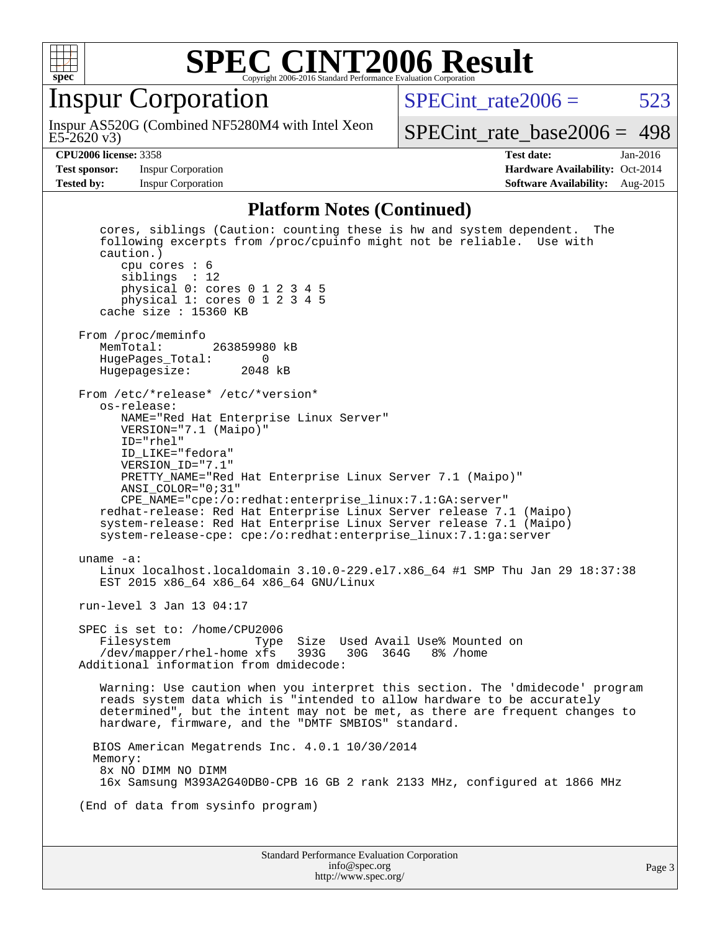

#### Inspur Corporation

E5-2620 v3) Inspur AS520G (Combined NF5280M4 with Intel Xeon SPECint rate $2006 = 523$ 

[SPECint\\_rate\\_base2006 =](http://www.spec.org/auto/cpu2006/Docs/result-fields.html#SPECintratebase2006) 498

**[Test sponsor:](http://www.spec.org/auto/cpu2006/Docs/result-fields.html#Testsponsor)** Inspur Corporation **[Hardware Availability:](http://www.spec.org/auto/cpu2006/Docs/result-fields.html#HardwareAvailability)** Oct-2014

**[CPU2006 license:](http://www.spec.org/auto/cpu2006/Docs/result-fields.html#CPU2006license)** 3358 **[Test date:](http://www.spec.org/auto/cpu2006/Docs/result-fields.html#Testdate)** Jan-2016 **[Tested by:](http://www.spec.org/auto/cpu2006/Docs/result-fields.html#Testedby)** Inspur Corporation **[Software Availability:](http://www.spec.org/auto/cpu2006/Docs/result-fields.html#SoftwareAvailability)** Aug-2015

#### **[Platform Notes \(Continued\)](http://www.spec.org/auto/cpu2006/Docs/result-fields.html#PlatformNotes)**

Standard Performance Evaluation Corporation [info@spec.org](mailto:info@spec.org) cores, siblings (Caution: counting these is hw and system dependent. The following excerpts from /proc/cpuinfo might not be reliable. Use with caution.) cpu cores : 6 siblings : 12 physical 0: cores 0 1 2 3 4 5 physical 1: cores 0 1 2 3 4 5 cache size : 15360 KB From /proc/meminfo<br>MemTotal: 263859980 kB HugePages\_Total: 0 Hugepagesize: 2048 kB From /etc/\*release\* /etc/\*version\* os-release: NAME="Red Hat Enterprise Linux Server" VERSION="7.1 (Maipo)" ID="rhel" ID\_LIKE="fedora" VERSION\_ID="7.1" PRETTY\_NAME="Red Hat Enterprise Linux Server 7.1 (Maipo)" ANSI\_COLOR="0;31" CPE\_NAME="cpe:/o:redhat:enterprise\_linux:7.1:GA:server" redhat-release: Red Hat Enterprise Linux Server release 7.1 (Maipo) system-release: Red Hat Enterprise Linux Server release 7.1 (Maipo) system-release-cpe: cpe:/o:redhat:enterprise\_linux:7.1:ga:server uname -a: Linux localhost.localdomain 3.10.0-229.el7.x86\_64 #1 SMP Thu Jan 29 18:37:38 EST 2015 x86\_64 x86\_64 x86\_64 GNU/Linux run-level 3 Jan 13 04:17 SPEC is set to: /home/CPU2006 Filesystem Type Size Used Avail Use% Mounted on /dev/mapper/rhel-home xfs 393G 30G 364G 8% /home Additional information from dmidecode: Warning: Use caution when you interpret this section. The 'dmidecode' program reads system data which is "intended to allow hardware to be accurately determined", but the intent may not be met, as there are frequent changes to hardware, firmware, and the "DMTF SMBIOS" standard. BIOS American Megatrends Inc. 4.0.1 10/30/2014 Memory: 8x NO DIMM NO DIMM 16x Samsung M393A2G40DB0-CPB 16 GB 2 rank 2133 MHz, configured at 1866 MHz (End of data from sysinfo program)

<http://www.spec.org/>

Page 3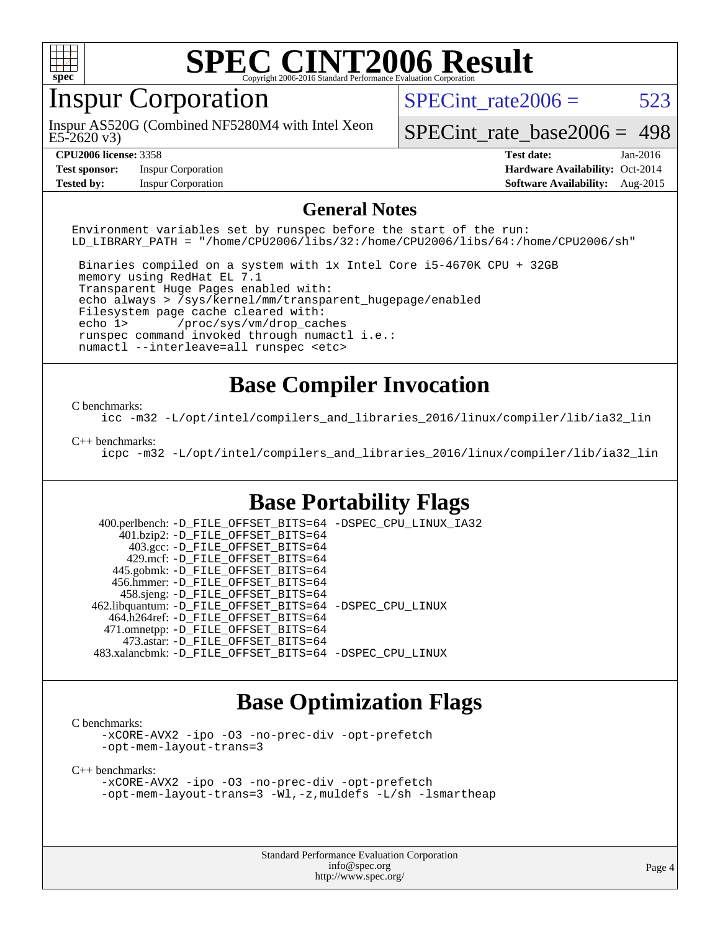

### Inspur Corporation

E5-2620 v3) Inspur AS520G (Combined NF5280M4 with Intel Xeon SPECint rate $2006 = 523$ 

[SPECint\\_rate\\_base2006 =](http://www.spec.org/auto/cpu2006/Docs/result-fields.html#SPECintratebase2006) 498

**[Test sponsor:](http://www.spec.org/auto/cpu2006/Docs/result-fields.html#Testsponsor)** Inspur Corporation **[Hardware Availability:](http://www.spec.org/auto/cpu2006/Docs/result-fields.html#HardwareAvailability)** Oct-2014

**[CPU2006 license:](http://www.spec.org/auto/cpu2006/Docs/result-fields.html#CPU2006license)** 3358 **[Test date:](http://www.spec.org/auto/cpu2006/Docs/result-fields.html#Testdate)** Jan-2016 **[Tested by:](http://www.spec.org/auto/cpu2006/Docs/result-fields.html#Testedby)** Inspur Corporation **[Software Availability:](http://www.spec.org/auto/cpu2006/Docs/result-fields.html#SoftwareAvailability)** Aug-2015

#### **[General Notes](http://www.spec.org/auto/cpu2006/Docs/result-fields.html#GeneralNotes)**

Environment variables set by runspec before the start of the run: LD\_LIBRARY\_PATH = "/home/CPU2006/libs/32:/home/CPU2006/libs/64:/home/CPU2006/sh"

 Binaries compiled on a system with 1x Intel Core i5-4670K CPU + 32GB memory using RedHat EL 7.1 Transparent Huge Pages enabled with: echo always > /sys/kernel/mm/transparent\_hugepage/enabled Filesystem page cache cleared with: echo 1> /proc/sys/vm/drop\_caches runspec command invoked through numactl i.e.: numactl --interleave=all runspec <etc>

#### **[Base Compiler Invocation](http://www.spec.org/auto/cpu2006/Docs/result-fields.html#BaseCompilerInvocation)**

#### [C benchmarks](http://www.spec.org/auto/cpu2006/Docs/result-fields.html#Cbenchmarks):

[icc -m32 -L/opt/intel/compilers\\_and\\_libraries\\_2016/linux/compiler/lib/ia32\\_lin](http://www.spec.org/cpu2006/results/res2016q1/cpu2006-20160118-38707.flags.html#user_CCbase_intel_icc_e10256ba5924b668798078a321b0cb3f)

#### [C++ benchmarks:](http://www.spec.org/auto/cpu2006/Docs/result-fields.html#CXXbenchmarks)

[icpc -m32 -L/opt/intel/compilers\\_and\\_libraries\\_2016/linux/compiler/lib/ia32\\_lin](http://www.spec.org/cpu2006/results/res2016q1/cpu2006-20160118-38707.flags.html#user_CXXbase_intel_icpc_b4f50a394bdb4597aa5879c16bc3f5c5)

#### **[Base Portability Flags](http://www.spec.org/auto/cpu2006/Docs/result-fields.html#BasePortabilityFlags)**

 400.perlbench: [-D\\_FILE\\_OFFSET\\_BITS=64](http://www.spec.org/cpu2006/results/res2016q1/cpu2006-20160118-38707.flags.html#user_basePORTABILITY400_perlbench_file_offset_bits_64_438cf9856305ebd76870a2c6dc2689ab) [-DSPEC\\_CPU\\_LINUX\\_IA32](http://www.spec.org/cpu2006/results/res2016q1/cpu2006-20160118-38707.flags.html#b400.perlbench_baseCPORTABILITY_DSPEC_CPU_LINUX_IA32) 401.bzip2: [-D\\_FILE\\_OFFSET\\_BITS=64](http://www.spec.org/cpu2006/results/res2016q1/cpu2006-20160118-38707.flags.html#user_basePORTABILITY401_bzip2_file_offset_bits_64_438cf9856305ebd76870a2c6dc2689ab) 403.gcc: [-D\\_FILE\\_OFFSET\\_BITS=64](http://www.spec.org/cpu2006/results/res2016q1/cpu2006-20160118-38707.flags.html#user_basePORTABILITY403_gcc_file_offset_bits_64_438cf9856305ebd76870a2c6dc2689ab) 429.mcf: [-D\\_FILE\\_OFFSET\\_BITS=64](http://www.spec.org/cpu2006/results/res2016q1/cpu2006-20160118-38707.flags.html#user_basePORTABILITY429_mcf_file_offset_bits_64_438cf9856305ebd76870a2c6dc2689ab) 445.gobmk: [-D\\_FILE\\_OFFSET\\_BITS=64](http://www.spec.org/cpu2006/results/res2016q1/cpu2006-20160118-38707.flags.html#user_basePORTABILITY445_gobmk_file_offset_bits_64_438cf9856305ebd76870a2c6dc2689ab) 456.hmmer: [-D\\_FILE\\_OFFSET\\_BITS=64](http://www.spec.org/cpu2006/results/res2016q1/cpu2006-20160118-38707.flags.html#user_basePORTABILITY456_hmmer_file_offset_bits_64_438cf9856305ebd76870a2c6dc2689ab) 458.sjeng: [-D\\_FILE\\_OFFSET\\_BITS=64](http://www.spec.org/cpu2006/results/res2016q1/cpu2006-20160118-38707.flags.html#user_basePORTABILITY458_sjeng_file_offset_bits_64_438cf9856305ebd76870a2c6dc2689ab) 462.libquantum: [-D\\_FILE\\_OFFSET\\_BITS=64](http://www.spec.org/cpu2006/results/res2016q1/cpu2006-20160118-38707.flags.html#user_basePORTABILITY462_libquantum_file_offset_bits_64_438cf9856305ebd76870a2c6dc2689ab) [-DSPEC\\_CPU\\_LINUX](http://www.spec.org/cpu2006/results/res2016q1/cpu2006-20160118-38707.flags.html#b462.libquantum_baseCPORTABILITY_DSPEC_CPU_LINUX) 464.h264ref: [-D\\_FILE\\_OFFSET\\_BITS=64](http://www.spec.org/cpu2006/results/res2016q1/cpu2006-20160118-38707.flags.html#user_basePORTABILITY464_h264ref_file_offset_bits_64_438cf9856305ebd76870a2c6dc2689ab) 471.omnetpp: [-D\\_FILE\\_OFFSET\\_BITS=64](http://www.spec.org/cpu2006/results/res2016q1/cpu2006-20160118-38707.flags.html#user_basePORTABILITY471_omnetpp_file_offset_bits_64_438cf9856305ebd76870a2c6dc2689ab) 473.astar: [-D\\_FILE\\_OFFSET\\_BITS=64](http://www.spec.org/cpu2006/results/res2016q1/cpu2006-20160118-38707.flags.html#user_basePORTABILITY473_astar_file_offset_bits_64_438cf9856305ebd76870a2c6dc2689ab) 483.xalancbmk: [-D\\_FILE\\_OFFSET\\_BITS=64](http://www.spec.org/cpu2006/results/res2016q1/cpu2006-20160118-38707.flags.html#user_basePORTABILITY483_xalancbmk_file_offset_bits_64_438cf9856305ebd76870a2c6dc2689ab) [-DSPEC\\_CPU\\_LINUX](http://www.spec.org/cpu2006/results/res2016q1/cpu2006-20160118-38707.flags.html#b483.xalancbmk_baseCXXPORTABILITY_DSPEC_CPU_LINUX)

#### **[Base Optimization Flags](http://www.spec.org/auto/cpu2006/Docs/result-fields.html#BaseOptimizationFlags)**

[C benchmarks](http://www.spec.org/auto/cpu2006/Docs/result-fields.html#Cbenchmarks):

[-xCORE-AVX2](http://www.spec.org/cpu2006/results/res2016q1/cpu2006-20160118-38707.flags.html#user_CCbase_f-xAVX2_5f5fc0cbe2c9f62c816d3e45806c70d7) [-ipo](http://www.spec.org/cpu2006/results/res2016q1/cpu2006-20160118-38707.flags.html#user_CCbase_f-ipo) [-O3](http://www.spec.org/cpu2006/results/res2016q1/cpu2006-20160118-38707.flags.html#user_CCbase_f-O3) [-no-prec-div](http://www.spec.org/cpu2006/results/res2016q1/cpu2006-20160118-38707.flags.html#user_CCbase_f-no-prec-div) [-opt-prefetch](http://www.spec.org/cpu2006/results/res2016q1/cpu2006-20160118-38707.flags.html#user_CCbase_f-opt-prefetch) [-opt-mem-layout-trans=3](http://www.spec.org/cpu2006/results/res2016q1/cpu2006-20160118-38707.flags.html#user_CCbase_f-opt-mem-layout-trans_a7b82ad4bd7abf52556d4961a2ae94d5)

[C++ benchmarks:](http://www.spec.org/auto/cpu2006/Docs/result-fields.html#CXXbenchmarks)

[-xCORE-AVX2](http://www.spec.org/cpu2006/results/res2016q1/cpu2006-20160118-38707.flags.html#user_CXXbase_f-xAVX2_5f5fc0cbe2c9f62c816d3e45806c70d7) [-ipo](http://www.spec.org/cpu2006/results/res2016q1/cpu2006-20160118-38707.flags.html#user_CXXbase_f-ipo) [-O3](http://www.spec.org/cpu2006/results/res2016q1/cpu2006-20160118-38707.flags.html#user_CXXbase_f-O3) [-no-prec-div](http://www.spec.org/cpu2006/results/res2016q1/cpu2006-20160118-38707.flags.html#user_CXXbase_f-no-prec-div) [-opt-prefetch](http://www.spec.org/cpu2006/results/res2016q1/cpu2006-20160118-38707.flags.html#user_CXXbase_f-opt-prefetch) [-opt-mem-layout-trans=3](http://www.spec.org/cpu2006/results/res2016q1/cpu2006-20160118-38707.flags.html#user_CXXbase_f-opt-mem-layout-trans_a7b82ad4bd7abf52556d4961a2ae94d5) [-Wl,-z,muldefs](http://www.spec.org/cpu2006/results/res2016q1/cpu2006-20160118-38707.flags.html#user_CXXbase_link_force_multiple1_74079c344b956b9658436fd1b6dd3a8a) [-L/sh -lsmartheap](http://www.spec.org/cpu2006/results/res2016q1/cpu2006-20160118-38707.flags.html#user_CXXbase_SmartHeap_32f6c82aa1ed9c52345d30cf6e4a0499)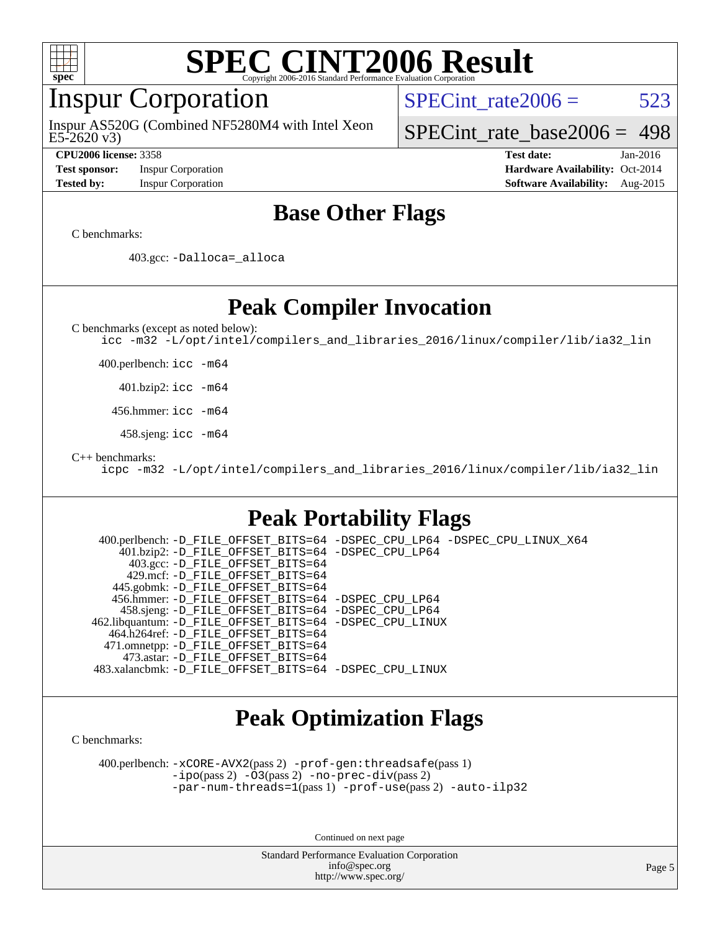

#### Inspur Corporation

E5-2620 v3) Inspur AS520G (Combined NF5280M4 with Intel Xeon SPECint rate $2006 = 523$ 

[SPECint\\_rate\\_base2006 =](http://www.spec.org/auto/cpu2006/Docs/result-fields.html#SPECintratebase2006) 498

**[Test sponsor:](http://www.spec.org/auto/cpu2006/Docs/result-fields.html#Testsponsor)** Inspur Corporation **[Hardware Availability:](http://www.spec.org/auto/cpu2006/Docs/result-fields.html#HardwareAvailability)** Oct-2014

**[CPU2006 license:](http://www.spec.org/auto/cpu2006/Docs/result-fields.html#CPU2006license)** 3358 **[Test date:](http://www.spec.org/auto/cpu2006/Docs/result-fields.html#Testdate)** Jan-2016 **[Tested by:](http://www.spec.org/auto/cpu2006/Docs/result-fields.html#Testedby)** Inspur Corporation **[Software Availability:](http://www.spec.org/auto/cpu2006/Docs/result-fields.html#SoftwareAvailability)** Aug-2015

#### **[Base Other Flags](http://www.spec.org/auto/cpu2006/Docs/result-fields.html#BaseOtherFlags)**

[C benchmarks](http://www.spec.org/auto/cpu2006/Docs/result-fields.html#Cbenchmarks):

403.gcc: [-Dalloca=\\_alloca](http://www.spec.org/cpu2006/results/res2016q1/cpu2006-20160118-38707.flags.html#b403.gcc_baseEXTRA_CFLAGS_Dalloca_be3056838c12de2578596ca5467af7f3)

**[Peak Compiler Invocation](http://www.spec.org/auto/cpu2006/Docs/result-fields.html#PeakCompilerInvocation)**

[C benchmarks \(except as noted below\)](http://www.spec.org/auto/cpu2006/Docs/result-fields.html#Cbenchmarksexceptasnotedbelow):

[icc -m32 -L/opt/intel/compilers\\_and\\_libraries\\_2016/linux/compiler/lib/ia32\\_lin](http://www.spec.org/cpu2006/results/res2016q1/cpu2006-20160118-38707.flags.html#user_CCpeak_intel_icc_e10256ba5924b668798078a321b0cb3f)

400.perlbench: [icc -m64](http://www.spec.org/cpu2006/results/res2016q1/cpu2006-20160118-38707.flags.html#user_peakCCLD400_perlbench_intel_icc_64bit_bda6cc9af1fdbb0edc3795bac97ada53)

401.bzip2: [icc -m64](http://www.spec.org/cpu2006/results/res2016q1/cpu2006-20160118-38707.flags.html#user_peakCCLD401_bzip2_intel_icc_64bit_bda6cc9af1fdbb0edc3795bac97ada53)

456.hmmer: [icc -m64](http://www.spec.org/cpu2006/results/res2016q1/cpu2006-20160118-38707.flags.html#user_peakCCLD456_hmmer_intel_icc_64bit_bda6cc9af1fdbb0edc3795bac97ada53)

458.sjeng: [icc -m64](http://www.spec.org/cpu2006/results/res2016q1/cpu2006-20160118-38707.flags.html#user_peakCCLD458_sjeng_intel_icc_64bit_bda6cc9af1fdbb0edc3795bac97ada53)

[C++ benchmarks:](http://www.spec.org/auto/cpu2006/Docs/result-fields.html#CXXbenchmarks)

[icpc -m32 -L/opt/intel/compilers\\_and\\_libraries\\_2016/linux/compiler/lib/ia32\\_lin](http://www.spec.org/cpu2006/results/res2016q1/cpu2006-20160118-38707.flags.html#user_CXXpeak_intel_icpc_b4f50a394bdb4597aa5879c16bc3f5c5)

#### **[Peak Portability Flags](http://www.spec.org/auto/cpu2006/Docs/result-fields.html#PeakPortabilityFlags)**

 400.perlbench: [-D\\_FILE\\_OFFSET\\_BITS=64](http://www.spec.org/cpu2006/results/res2016q1/cpu2006-20160118-38707.flags.html#user_peakPORTABILITY400_perlbench_file_offset_bits_64_438cf9856305ebd76870a2c6dc2689ab) [-DSPEC\\_CPU\\_LP64](http://www.spec.org/cpu2006/results/res2016q1/cpu2006-20160118-38707.flags.html#b400.perlbench_peakCPORTABILITY_DSPEC_CPU_LP64) [-DSPEC\\_CPU\\_LINUX\\_X64](http://www.spec.org/cpu2006/results/res2016q1/cpu2006-20160118-38707.flags.html#b400.perlbench_peakCPORTABILITY_DSPEC_CPU_LINUX_X64) 401.bzip2: [-D\\_FILE\\_OFFSET\\_BITS=64](http://www.spec.org/cpu2006/results/res2016q1/cpu2006-20160118-38707.flags.html#user_peakPORTABILITY401_bzip2_file_offset_bits_64_438cf9856305ebd76870a2c6dc2689ab) [-DSPEC\\_CPU\\_LP64](http://www.spec.org/cpu2006/results/res2016q1/cpu2006-20160118-38707.flags.html#suite_peakCPORTABILITY401_bzip2_DSPEC_CPU_LP64) 403.gcc: [-D\\_FILE\\_OFFSET\\_BITS=64](http://www.spec.org/cpu2006/results/res2016q1/cpu2006-20160118-38707.flags.html#user_peakPORTABILITY403_gcc_file_offset_bits_64_438cf9856305ebd76870a2c6dc2689ab) 429.mcf: [-D\\_FILE\\_OFFSET\\_BITS=64](http://www.spec.org/cpu2006/results/res2016q1/cpu2006-20160118-38707.flags.html#user_peakPORTABILITY429_mcf_file_offset_bits_64_438cf9856305ebd76870a2c6dc2689ab) 445.gobmk: [-D\\_FILE\\_OFFSET\\_BITS=64](http://www.spec.org/cpu2006/results/res2016q1/cpu2006-20160118-38707.flags.html#user_peakPORTABILITY445_gobmk_file_offset_bits_64_438cf9856305ebd76870a2c6dc2689ab) 456.hmmer: [-D\\_FILE\\_OFFSET\\_BITS=64](http://www.spec.org/cpu2006/results/res2016q1/cpu2006-20160118-38707.flags.html#user_peakPORTABILITY456_hmmer_file_offset_bits_64_438cf9856305ebd76870a2c6dc2689ab) [-DSPEC\\_CPU\\_LP64](http://www.spec.org/cpu2006/results/res2016q1/cpu2006-20160118-38707.flags.html#suite_peakCPORTABILITY456_hmmer_DSPEC_CPU_LP64) 458.sjeng: [-D\\_FILE\\_OFFSET\\_BITS=64](http://www.spec.org/cpu2006/results/res2016q1/cpu2006-20160118-38707.flags.html#user_peakPORTABILITY458_sjeng_file_offset_bits_64_438cf9856305ebd76870a2c6dc2689ab) [-DSPEC\\_CPU\\_LP64](http://www.spec.org/cpu2006/results/res2016q1/cpu2006-20160118-38707.flags.html#suite_peakCPORTABILITY458_sjeng_DSPEC_CPU_LP64) 462.libquantum: [-D\\_FILE\\_OFFSET\\_BITS=64](http://www.spec.org/cpu2006/results/res2016q1/cpu2006-20160118-38707.flags.html#user_peakPORTABILITY462_libquantum_file_offset_bits_64_438cf9856305ebd76870a2c6dc2689ab) [-DSPEC\\_CPU\\_LINUX](http://www.spec.org/cpu2006/results/res2016q1/cpu2006-20160118-38707.flags.html#b462.libquantum_peakCPORTABILITY_DSPEC_CPU_LINUX) 464.h264ref: [-D\\_FILE\\_OFFSET\\_BITS=64](http://www.spec.org/cpu2006/results/res2016q1/cpu2006-20160118-38707.flags.html#user_peakPORTABILITY464_h264ref_file_offset_bits_64_438cf9856305ebd76870a2c6dc2689ab) 471.omnetpp: [-D\\_FILE\\_OFFSET\\_BITS=64](http://www.spec.org/cpu2006/results/res2016q1/cpu2006-20160118-38707.flags.html#user_peakPORTABILITY471_omnetpp_file_offset_bits_64_438cf9856305ebd76870a2c6dc2689ab) 473.astar: [-D\\_FILE\\_OFFSET\\_BITS=64](http://www.spec.org/cpu2006/results/res2016q1/cpu2006-20160118-38707.flags.html#user_peakPORTABILITY473_astar_file_offset_bits_64_438cf9856305ebd76870a2c6dc2689ab) 483.xalancbmk: [-D\\_FILE\\_OFFSET\\_BITS=64](http://www.spec.org/cpu2006/results/res2016q1/cpu2006-20160118-38707.flags.html#user_peakPORTABILITY483_xalancbmk_file_offset_bits_64_438cf9856305ebd76870a2c6dc2689ab) [-DSPEC\\_CPU\\_LINUX](http://www.spec.org/cpu2006/results/res2016q1/cpu2006-20160118-38707.flags.html#b483.xalancbmk_peakCXXPORTABILITY_DSPEC_CPU_LINUX)

#### **[Peak Optimization Flags](http://www.spec.org/auto/cpu2006/Docs/result-fields.html#PeakOptimizationFlags)**

[C benchmarks](http://www.spec.org/auto/cpu2006/Docs/result-fields.html#Cbenchmarks):

 400.perlbench: [-xCORE-AVX2](http://www.spec.org/cpu2006/results/res2016q1/cpu2006-20160118-38707.flags.html#user_peakPASS2_CFLAGSPASS2_LDCFLAGS400_perlbench_f-xAVX2_5f5fc0cbe2c9f62c816d3e45806c70d7)(pass 2) [-prof-gen:threadsafe](http://www.spec.org/cpu2006/results/res2016q1/cpu2006-20160118-38707.flags.html#user_peakPASS1_CFLAGSPASS1_LDCFLAGS400_perlbench_prof_gen_21a26eb79f378b550acd7bec9fe4467a)(pass 1) [-ipo](http://www.spec.org/cpu2006/results/res2016q1/cpu2006-20160118-38707.flags.html#user_peakPASS2_CFLAGSPASS2_LDCFLAGS400_perlbench_f-ipo)(pass 2) [-O3](http://www.spec.org/cpu2006/results/res2016q1/cpu2006-20160118-38707.flags.html#user_peakPASS2_CFLAGSPASS2_LDCFLAGS400_perlbench_f-O3)(pass 2) [-no-prec-div](http://www.spec.org/cpu2006/results/res2016q1/cpu2006-20160118-38707.flags.html#user_peakPASS2_CFLAGSPASS2_LDCFLAGS400_perlbench_f-no-prec-div)(pass 2) [-par-num-threads=1](http://www.spec.org/cpu2006/results/res2016q1/cpu2006-20160118-38707.flags.html#user_peakPASS1_CFLAGSPASS1_LDCFLAGS400_perlbench_par_num_threads_786a6ff141b4e9e90432e998842df6c2)(pass 1) [-prof-use](http://www.spec.org/cpu2006/results/res2016q1/cpu2006-20160118-38707.flags.html#user_peakPASS2_CFLAGSPASS2_LDCFLAGS400_perlbench_prof_use_bccf7792157ff70d64e32fe3e1250b55)(pass 2) [-auto-ilp32](http://www.spec.org/cpu2006/results/res2016q1/cpu2006-20160118-38707.flags.html#user_peakCOPTIMIZE400_perlbench_f-auto-ilp32)

Continued on next page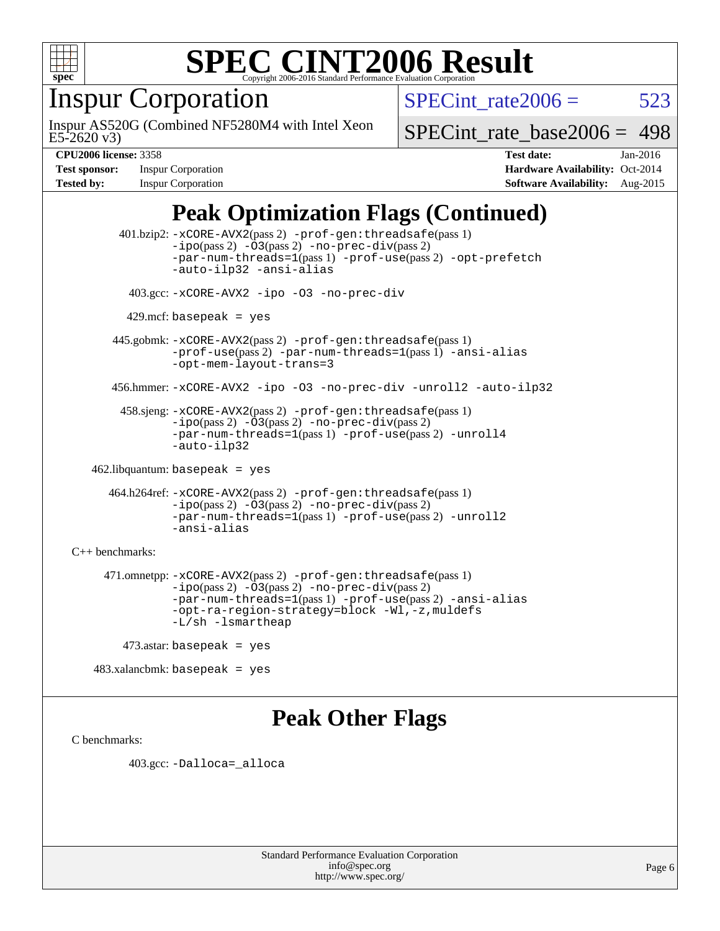

### Inspur Corporation

E5-2620 v3) Inspur AS520G (Combined NF5280M4 with Intel Xeon SPECint rate $2006 = 523$ 

[SPECint\\_rate\\_base2006 =](http://www.spec.org/auto/cpu2006/Docs/result-fields.html#SPECintratebase2006) 498

**[Test sponsor:](http://www.spec.org/auto/cpu2006/Docs/result-fields.html#Testsponsor)** Inspur Corporation **[Hardware Availability:](http://www.spec.org/auto/cpu2006/Docs/result-fields.html#HardwareAvailability)** Oct-2014

**[CPU2006 license:](http://www.spec.org/auto/cpu2006/Docs/result-fields.html#CPU2006license)** 3358 **[Test date:](http://www.spec.org/auto/cpu2006/Docs/result-fields.html#Testdate)** Jan-2016 **[Tested by:](http://www.spec.org/auto/cpu2006/Docs/result-fields.html#Testedby)** Inspur Corporation **[Software Availability:](http://www.spec.org/auto/cpu2006/Docs/result-fields.html#SoftwareAvailability)** Aug-2015

#### **[Peak Optimization Flags \(Continued\)](http://www.spec.org/auto/cpu2006/Docs/result-fields.html#PeakOptimizationFlags)**

 401.bzip2: [-xCORE-AVX2](http://www.spec.org/cpu2006/results/res2016q1/cpu2006-20160118-38707.flags.html#user_peakPASS2_CFLAGSPASS2_LDCFLAGS401_bzip2_f-xAVX2_5f5fc0cbe2c9f62c816d3e45806c70d7)(pass 2) [-prof-gen:threadsafe](http://www.spec.org/cpu2006/results/res2016q1/cpu2006-20160118-38707.flags.html#user_peakPASS1_CFLAGSPASS1_LDCFLAGS401_bzip2_prof_gen_21a26eb79f378b550acd7bec9fe4467a)(pass 1)  $-i\text{po}(pass 2) -03(pass 2) -no-prec-div(pass 2)$  $-i\text{po}(pass 2) -03(pass 2) -no-prec-div(pass 2)$  $-i\text{po}(pass 2) -03(pass 2) -no-prec-div(pass 2)$ [-par-num-threads=1](http://www.spec.org/cpu2006/results/res2016q1/cpu2006-20160118-38707.flags.html#user_peakPASS1_CFLAGSPASS1_LDCFLAGS401_bzip2_par_num_threads_786a6ff141b4e9e90432e998842df6c2)(pass 1) [-prof-use](http://www.spec.org/cpu2006/results/res2016q1/cpu2006-20160118-38707.flags.html#user_peakPASS2_CFLAGSPASS2_LDCFLAGS401_bzip2_prof_use_bccf7792157ff70d64e32fe3e1250b55)(pass 2) [-opt-prefetch](http://www.spec.org/cpu2006/results/res2016q1/cpu2006-20160118-38707.flags.html#user_peakCOPTIMIZE401_bzip2_f-opt-prefetch) [-auto-ilp32](http://www.spec.org/cpu2006/results/res2016q1/cpu2006-20160118-38707.flags.html#user_peakCOPTIMIZE401_bzip2_f-auto-ilp32) [-ansi-alias](http://www.spec.org/cpu2006/results/res2016q1/cpu2006-20160118-38707.flags.html#user_peakCOPTIMIZE401_bzip2_f-ansi-alias) 403.gcc: [-xCORE-AVX2](http://www.spec.org/cpu2006/results/res2016q1/cpu2006-20160118-38707.flags.html#user_peakCOPTIMIZE403_gcc_f-xAVX2_5f5fc0cbe2c9f62c816d3e45806c70d7) [-ipo](http://www.spec.org/cpu2006/results/res2016q1/cpu2006-20160118-38707.flags.html#user_peakCOPTIMIZE403_gcc_f-ipo) [-O3](http://www.spec.org/cpu2006/results/res2016q1/cpu2006-20160118-38707.flags.html#user_peakCOPTIMIZE403_gcc_f-O3) [-no-prec-div](http://www.spec.org/cpu2006/results/res2016q1/cpu2006-20160118-38707.flags.html#user_peakCOPTIMIZE403_gcc_f-no-prec-div)  $429$ .mcf: basepeak = yes 445.gobmk: [-xCORE-AVX2](http://www.spec.org/cpu2006/results/res2016q1/cpu2006-20160118-38707.flags.html#user_peakPASS2_CFLAGSPASS2_LDCFLAGS445_gobmk_f-xAVX2_5f5fc0cbe2c9f62c816d3e45806c70d7)(pass 2) [-prof-gen:threadsafe](http://www.spec.org/cpu2006/results/res2016q1/cpu2006-20160118-38707.flags.html#user_peakPASS1_CFLAGSPASS1_LDCFLAGS445_gobmk_prof_gen_21a26eb79f378b550acd7bec9fe4467a)(pass 1) [-prof-use](http://www.spec.org/cpu2006/results/res2016q1/cpu2006-20160118-38707.flags.html#user_peakPASS2_CFLAGSPASS2_LDCFLAGS445_gobmk_prof_use_bccf7792157ff70d64e32fe3e1250b55)(pass 2) [-par-num-threads=1](http://www.spec.org/cpu2006/results/res2016q1/cpu2006-20160118-38707.flags.html#user_peakPASS1_CFLAGSPASS1_LDCFLAGS445_gobmk_par_num_threads_786a6ff141b4e9e90432e998842df6c2)(pass 1) [-ansi-alias](http://www.spec.org/cpu2006/results/res2016q1/cpu2006-20160118-38707.flags.html#user_peakCOPTIMIZE445_gobmk_f-ansi-alias) [-opt-mem-layout-trans=3](http://www.spec.org/cpu2006/results/res2016q1/cpu2006-20160118-38707.flags.html#user_peakCOPTIMIZE445_gobmk_f-opt-mem-layout-trans_a7b82ad4bd7abf52556d4961a2ae94d5) 456.hmmer: [-xCORE-AVX2](http://www.spec.org/cpu2006/results/res2016q1/cpu2006-20160118-38707.flags.html#user_peakCOPTIMIZE456_hmmer_f-xAVX2_5f5fc0cbe2c9f62c816d3e45806c70d7) [-ipo](http://www.spec.org/cpu2006/results/res2016q1/cpu2006-20160118-38707.flags.html#user_peakCOPTIMIZE456_hmmer_f-ipo) [-O3](http://www.spec.org/cpu2006/results/res2016q1/cpu2006-20160118-38707.flags.html#user_peakCOPTIMIZE456_hmmer_f-O3) [-no-prec-div](http://www.spec.org/cpu2006/results/res2016q1/cpu2006-20160118-38707.flags.html#user_peakCOPTIMIZE456_hmmer_f-no-prec-div) [-unroll2](http://www.spec.org/cpu2006/results/res2016q1/cpu2006-20160118-38707.flags.html#user_peakCOPTIMIZE456_hmmer_f-unroll_784dae83bebfb236979b41d2422d7ec2) [-auto-ilp32](http://www.spec.org/cpu2006/results/res2016q1/cpu2006-20160118-38707.flags.html#user_peakCOPTIMIZE456_hmmer_f-auto-ilp32) 458.sjeng: [-xCORE-AVX2](http://www.spec.org/cpu2006/results/res2016q1/cpu2006-20160118-38707.flags.html#user_peakPASS2_CFLAGSPASS2_LDCFLAGS458_sjeng_f-xAVX2_5f5fc0cbe2c9f62c816d3e45806c70d7)(pass 2) [-prof-gen:threadsafe](http://www.spec.org/cpu2006/results/res2016q1/cpu2006-20160118-38707.flags.html#user_peakPASS1_CFLAGSPASS1_LDCFLAGS458_sjeng_prof_gen_21a26eb79f378b550acd7bec9fe4467a)(pass 1) [-ipo](http://www.spec.org/cpu2006/results/res2016q1/cpu2006-20160118-38707.flags.html#user_peakPASS2_CFLAGSPASS2_LDCFLAGS458_sjeng_f-ipo)(pass 2) [-O3](http://www.spec.org/cpu2006/results/res2016q1/cpu2006-20160118-38707.flags.html#user_peakPASS2_CFLAGSPASS2_LDCFLAGS458_sjeng_f-O3)(pass 2) [-no-prec-div](http://www.spec.org/cpu2006/results/res2016q1/cpu2006-20160118-38707.flags.html#user_peakPASS2_CFLAGSPASS2_LDCFLAGS458_sjeng_f-no-prec-div)(pass 2) [-par-num-threads=1](http://www.spec.org/cpu2006/results/res2016q1/cpu2006-20160118-38707.flags.html#user_peakPASS1_CFLAGSPASS1_LDCFLAGS458_sjeng_par_num_threads_786a6ff141b4e9e90432e998842df6c2)(pass 1) [-prof-use](http://www.spec.org/cpu2006/results/res2016q1/cpu2006-20160118-38707.flags.html#user_peakPASS2_CFLAGSPASS2_LDCFLAGS458_sjeng_prof_use_bccf7792157ff70d64e32fe3e1250b55)(pass 2) [-unroll4](http://www.spec.org/cpu2006/results/res2016q1/cpu2006-20160118-38707.flags.html#user_peakCOPTIMIZE458_sjeng_f-unroll_4e5e4ed65b7fd20bdcd365bec371b81f) [-auto-ilp32](http://www.spec.org/cpu2006/results/res2016q1/cpu2006-20160118-38707.flags.html#user_peakCOPTIMIZE458_sjeng_f-auto-ilp32) 462.libquantum: basepeak = yes 464.h264ref: [-xCORE-AVX2](http://www.spec.org/cpu2006/results/res2016q1/cpu2006-20160118-38707.flags.html#user_peakPASS2_CFLAGSPASS2_LDCFLAGS464_h264ref_f-xAVX2_5f5fc0cbe2c9f62c816d3e45806c70d7)(pass 2) [-prof-gen:threadsafe](http://www.spec.org/cpu2006/results/res2016q1/cpu2006-20160118-38707.flags.html#user_peakPASS1_CFLAGSPASS1_LDCFLAGS464_h264ref_prof_gen_21a26eb79f378b550acd7bec9fe4467a)(pass 1) [-ipo](http://www.spec.org/cpu2006/results/res2016q1/cpu2006-20160118-38707.flags.html#user_peakPASS2_CFLAGSPASS2_LDCFLAGS464_h264ref_f-ipo)(pass 2) [-O3](http://www.spec.org/cpu2006/results/res2016q1/cpu2006-20160118-38707.flags.html#user_peakPASS2_CFLAGSPASS2_LDCFLAGS464_h264ref_f-O3)(pass 2) [-no-prec-div](http://www.spec.org/cpu2006/results/res2016q1/cpu2006-20160118-38707.flags.html#user_peakPASS2_CFLAGSPASS2_LDCFLAGS464_h264ref_f-no-prec-div)(pass 2) [-par-num-threads=1](http://www.spec.org/cpu2006/results/res2016q1/cpu2006-20160118-38707.flags.html#user_peakPASS1_CFLAGSPASS1_LDCFLAGS464_h264ref_par_num_threads_786a6ff141b4e9e90432e998842df6c2)(pass 1) [-prof-use](http://www.spec.org/cpu2006/results/res2016q1/cpu2006-20160118-38707.flags.html#user_peakPASS2_CFLAGSPASS2_LDCFLAGS464_h264ref_prof_use_bccf7792157ff70d64e32fe3e1250b55)(pass 2) [-unroll2](http://www.spec.org/cpu2006/results/res2016q1/cpu2006-20160118-38707.flags.html#user_peakCOPTIMIZE464_h264ref_f-unroll_784dae83bebfb236979b41d2422d7ec2) [-ansi-alias](http://www.spec.org/cpu2006/results/res2016q1/cpu2006-20160118-38707.flags.html#user_peakCOPTIMIZE464_h264ref_f-ansi-alias) [C++ benchmarks:](http://www.spec.org/auto/cpu2006/Docs/result-fields.html#CXXbenchmarks) 471.omnetpp: [-xCORE-AVX2](http://www.spec.org/cpu2006/results/res2016q1/cpu2006-20160118-38707.flags.html#user_peakPASS2_CXXFLAGSPASS2_LDCXXFLAGS471_omnetpp_f-xAVX2_5f5fc0cbe2c9f62c816d3e45806c70d7)(pass 2) [-prof-gen:threadsafe](http://www.spec.org/cpu2006/results/res2016q1/cpu2006-20160118-38707.flags.html#user_peakPASS1_CXXFLAGSPASS1_LDCXXFLAGS471_omnetpp_prof_gen_21a26eb79f378b550acd7bec9fe4467a)(pass 1)  $-ipo(pass 2) -\overline{03(pass 2)}$  $-ipo(pass 2) -\overline{03(pass 2)}$  [-no-prec-div](http://www.spec.org/cpu2006/results/res2016q1/cpu2006-20160118-38707.flags.html#user_peakPASS2_CXXFLAGSPASS2_LDCXXFLAGS471_omnetpp_f-no-prec-div)(pass 2) [-par-num-threads=1](http://www.spec.org/cpu2006/results/res2016q1/cpu2006-20160118-38707.flags.html#user_peakPASS1_CXXFLAGSPASS1_LDCXXFLAGS471_omnetpp_par_num_threads_786a6ff141b4e9e90432e998842df6c2)(pass 1) [-prof-use](http://www.spec.org/cpu2006/results/res2016q1/cpu2006-20160118-38707.flags.html#user_peakPASS2_CXXFLAGSPASS2_LDCXXFLAGS471_omnetpp_prof_use_bccf7792157ff70d64e32fe3e1250b55)(pass 2) [-ansi-alias](http://www.spec.org/cpu2006/results/res2016q1/cpu2006-20160118-38707.flags.html#user_peakCXXOPTIMIZE471_omnetpp_f-ansi-alias) [-opt-ra-region-strategy=block](http://www.spec.org/cpu2006/results/res2016q1/cpu2006-20160118-38707.flags.html#user_peakCXXOPTIMIZE471_omnetpp_f-opt-ra-region-strategy_a0a37c372d03933b2a18d4af463c1f69) [-Wl,-z,muldefs](http://www.spec.org/cpu2006/results/res2016q1/cpu2006-20160118-38707.flags.html#user_peakEXTRA_LDFLAGS471_omnetpp_link_force_multiple1_74079c344b956b9658436fd1b6dd3a8a) [-L/sh -lsmartheap](http://www.spec.org/cpu2006/results/res2016q1/cpu2006-20160118-38707.flags.html#user_peakEXTRA_LIBS471_omnetpp_SmartHeap_32f6c82aa1ed9c52345d30cf6e4a0499) 473.astar: basepeak = yes

483.xalancbmk: basepeak = yes

#### **[Peak Other Flags](http://www.spec.org/auto/cpu2006/Docs/result-fields.html#PeakOtherFlags)**

[C benchmarks](http://www.spec.org/auto/cpu2006/Docs/result-fields.html#Cbenchmarks):

403.gcc: [-Dalloca=\\_alloca](http://www.spec.org/cpu2006/results/res2016q1/cpu2006-20160118-38707.flags.html#b403.gcc_peakEXTRA_CFLAGS_Dalloca_be3056838c12de2578596ca5467af7f3)